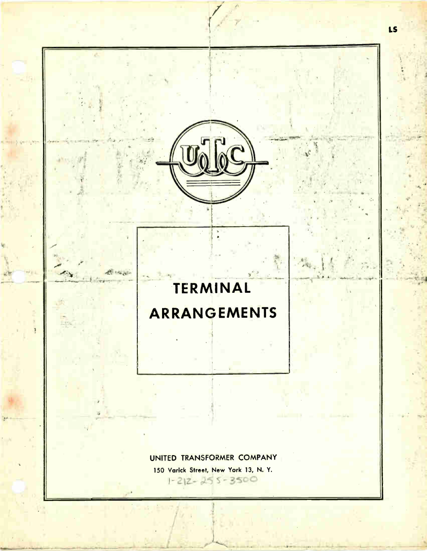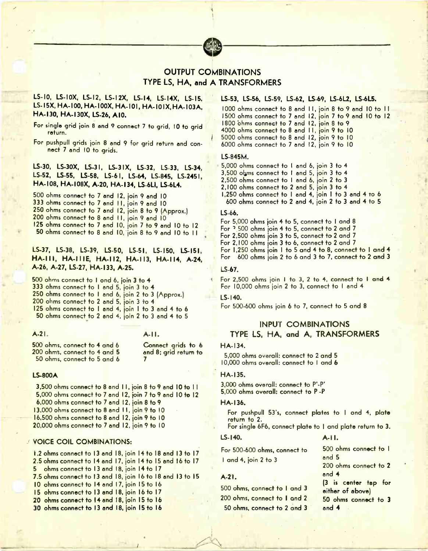

# OUTPUT COMBINATIONS TYPE LS, HA, and A TRANSFORMERS

# LS-10, LS-I0X, LS-I2, LS-12X, LS-14, LS-14X, LS-15, LS-15X, HA-100, HA-100X, HA-101, HA-101X, HA-103A, HA-130, HA-130X, LS-26, A10.

For single grid join 8 and 9 connect 7 to grid, 10 to grid return.

For pushpull grids join 8 and 9 for grid return end connect 7 end 10 to grids.

LS-30, LS-30X, LS-31, LS-31X, LS-32, LS-33, LS-34, LS-52, LS-55, LS-58, LS-61, LS-64, LS-845, LS-2451, HA-108, HA-I 08X, A-20, HA-134, LS-6L1, LS-6L4.

500 ohms connect to 7 and 12, join 9 and 10 333 ohms connect to 7 and 11, join 9 and 10 250 ohms connect to 7 and 12, join 8 to 9 (Approx.) 200 ohms connect to 8 and 11, join 9 and 10 125 ohms connect to 7 and 10, join 7 to 9 and 10 to 12 . 50 ohms connect to 8 and 10, join 8 to 9 and 10 to 11 .

# LS-37, LS-38, LS-39, LS-50, LS-51, LS-150, LS-151, HA-III, HA-IIIE, HA-II2, HA-II3, HA-II4, A-24, A-26, A-27, 1S-27, HA-133, A-25.

500 ohms connect to 1 and 6, join 3 to 4 333 ohms connect to 1 and 5, join 3 to 4 250 ohms connect to I and 6, join 2 to 3 (Approx.) 200 ohms connect to 2 and 5, join 3 to 4 125 ohms connect to 1 and 4, join 1 to 3 and 4 to 6 50 ohms connect to 2 end 4, join 2 to 3 and 4 to 5

A-21. A-I I.

500 ohms, connect to 4 and 6 200 ohms, connect to 4 and 5 50 ohms, connect to 5 and 6

Connect grids to 6 and 8; grid return to 7

#### LS-800A

3,500 ohms connect to 8 and 11, join 8 to 9 and 1 5,000 ohms connect to 7 and 12, join 7 to 9 and 10 to 12 6,000 ohms connect to 7 and 12, join 8 to 9 13,000 ohms connect to 8 and I I, join 9 to 10 16,500 ohms connect to 8 end 12, join 9 to 10 20,000 ohms connect to 7 and 12, join 9 to 10

# VOICE COIL COMBINATIONS:

1.2 ohms connect to 13 end 18, join 14 to 18 end 13 to 17 2.5 ohms connect to 14 and 17, join 14 to 15 and 16 to 17 5 ohms connect to 13 end 18, join 14 to 17 7.5 ohms connect to 13 and 18, join 16 to 18 and 13 to 15 10 ohms connect to 14 and 17, join 15 to 16 15 ohms connect to 13 end 18, join 16 to 17

- 20 ohms connect to 14 and 18, join 15 to 16
- 30 ohms connect to 13 end 18, join 15 to 16

# LS-53, LS-56, LS-59, LS-62, LS-69, LS-6L2, LS-6L5.

1000 ohms connect to 8 and 11, join 8 to 9 and 10 to 11  $\,$ I 500 ohms connect to 7 end 12, join 7 to 9 end 10 to 12 1800 ohms connect to 7 and 12, join 8 to 9  $^{\circ}$ 4000 ohms connect to 8 end I I, join 9 to 10 5000 ohms connect to 8 and 12, join 9 to 10  $^{\circ}$ 6000 ohms connect to 7 end 12, join 9 to 10

### LS-845M.

5,000 ohms connect to 1 and 6, join 3 to 4 3,500 olàms connect to 1 and 5, join 3 to 4 2,500 ohms connect to I and 6, join 2 to 3 2,100 ohms connect to 2 and 5, join 3 to 4 1,250 ohms connect to 1 and 4, join 1 to 3 end 4 to 6 600 ohms connect to 2 and 4, join 2 to 3 and 4 to 5

# LS-66.

For 5,000 ohms join 4 to 5, connect to 1 and 8 For 3,500 ohms join 4 to 5, connect to 2 and 7 For 2,500 ohms join 3 to 5, connect to 2 and 7 For 2,100 ohms join 3 to 6, connect to 2 and 7 For 1,250 ohms join 1 to 5 and 4 to 8, connect to I and 4 For 600 ohms join 2 to 6 and 3 to 7. connect to 2 and 3

# $LS-67.$

For 2,500 ohms join 1 to 3, 2 to 4, connect to  $1$  and 4 For 10,000 ohms join 2 to 3, connect to I and 4

#### LS-140.

For 500-600 ohms join 6 to 7, connect to 5 and 8

# INPUT COMBINATIONS TYPE LS, HA, and A, TRANSFORMERS

# HA-134.

5,000 ohms overall: connect to 2 and 5 10,000 ohms overall: connect to 1 and 6

#### HA-I35.

10 to II 3,000 ohms overall: connect to P'-P' 5,000 ohms overall: connect to P -P

#### HA-I36.

For pushpull 53's, connect plates to 1 and 4, plate return to 2.

For single 6F6, connect plate to I and plate return to 3.

#### U-140. A-I I.

1 and 4, join 2 to 3 For 500-600 ohms, connect to

## $A-21.$

# 500 ohms, connect to 1 and 3 200 ohms, connect to I and 2 50 ohms, connect to 2 and 3

500 ohms connect to 1 and 5 200 ohms connect to 2 and 4 (3 is center tep for either of above)

50 ohms connect to 3 and 4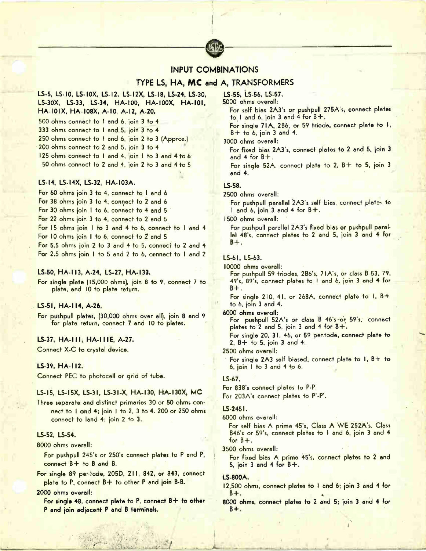

# INPUT COMBINATIONS

# TYPE LS, HA, MC and A, TRANSFORMERS

# LS-5, LS-10, LS-10X, LS-12, LS-12X, LS-18, LS-24, LS-30, LS-30X, LS-33, LS-34, HA-100, HA-100X, HA-10I, HA-10IX, HA-108X, A-10, A-I2, A-20.

500 ohms connect to I and 6, join 3 to 4

- 
- 333 ohms connect to 1 and 5, join 3 to 4
- 250 ohms connect to 1 and 6, join 2 to 3 (Approx.) 200 ohms connect to 2 and 5, join 3 to 4
- 125 ohms connect to 1 and 4, join 1 to 3 and 4 to 6  $\blacksquare$
- 50 ohms connect to 2 and 4, join 2 to 3 and 4 to 5

# LS-I4, LS-14X, LS-32, HA-I03A.

For 60 ohms join 3 to 4, connect to I and 6

For 38 ohms join 3 to 4, connect to 2 and 6

For 30 ohms join 1 to 6, connect to 4 and 5

For 22 ohms join 3 to 4, connect to 2 and 5

For 15 ohms join 1 to 3 and 4 to 6, connect to 1 and 4

- For 10 ohms join 1 to 6, connect to 2 and 5
- For 5.5 ohms join 2 to 3 and 4 to 5, connect to 2 and 4 For 2.5 ohms join 1 to 5 and 2 to 6, connect to 1 and 2

#### LS-50, HA-113, A-24, LS-27, HA-133.

For single plate (15,000 ohms), join 8 to 9, connect 7 to plate, and 10 to plate return.

# LS-51, HA-114, A-26.

For pushpull plates, (30,000 ohms over all), join 8 and 9 for plate return, connect 7 and 10 to plates.

# LS-37. HA- 1 II, HA-111E, A-27.

Connect X-C to crystal device.

# LS-39, HA-112.

Connect PEC to photocell or grid of tube.

# LS-15, LS-15X, LS-31, LS-31-X, HA-130, HA-130X, MC

Three separate and distinct primaries 30 or 50 ohms connect to 1 and 4; join 1 to 2, 3 to 4. 200 or 250 ohms connect to land 4; join 2 to 3.

# LS-52, LS-54.

8000 ohms overall:

For pushpull 245's or 250's connect plates to P and P, connect B+ to B and B.

For single 89 per tode, 205D, 211, 842, or 843, connect plate to P, connect  $B+$  to other P and join  $B-B$ .

### 2000 ohms overall:

For single 48, connect plate to  $P_1$  connect  $B+$  to other P and join adjacent P and B terminals.

1S-55, LS-56, LS-57.

5000 ohms overall:

For self bias 2A3's or pushpull 275A's, connect plates to I and 6, join 3 and 4 for  $B +$ .

For single 71A, 286, or 59 triode, connect plate to I, B+ to 6, join 3 and 4.

3000 ohms overall:

For fixed bias 2A3's, connect plates to 2 and 5, join 3 and  $4$  for  $B +$ .

For single 52A, connect plate to  $2$ ,  $B+$  to 5, join 3 and 4.

# LS-58.

2500 ohms overall:

For pushpull parallel 2A3's self bias, connect plates to 1 and 6, join 3 and 4 for  $8+$ .

1500 ohms overall:

For pushpull parallel 2A3's fixed bias or pushpull parallel 48's, connect plates to 2 and 5, join 3 and 4 for  $B + .$ 

# LS-61, LS-63.

10000 ohms overall:

For pushpull 59 triodes, 2B6's, 7 IA's, or class B 53, 79, 49's, 89's, connect plates to ! and 6, join 3 and 4 for  $B + .$ 

For single 210, 41, or 268A, connect plate to  $1, 8+$ to 6, join 3 and 4.

#### 6000 ohms overall:

For pushpull 52A's or class B 46's-or 59's, connect plates to 2 and 5, join 3 and 4 for B+.

For single 20, 31, 46, or 59 pentode. connect plate to 2, B+ to 5, join 3 and 4.

2500 ohms overall:

For single  $2A3$  self biased, connect plate to 1,  $B +$  to 6, join I to 3 and 4 to 6.

#### LS-67.

For 838's connect plates to P-P. For 203A's connect plates to P'-P'.

#### LS-245I.

6000 ohms overall:

For self bias A prime 45's, Class A WE 252A's, Class B46's or 59's, connect plates to 1 and 6, join 3 and 4 for B+.

3500 ohms overall:

For fixed bias A prime 45's, connect plates to 2 and 5, join 3 and 4 for  $B +$ .

#### LS-800A.

- 12,500 ohms, connect plates to 1 and 6; join 3 and 4 for B+.
- 8000 ohms, connect plates to 2 and 5; join 3 end 4 for B+.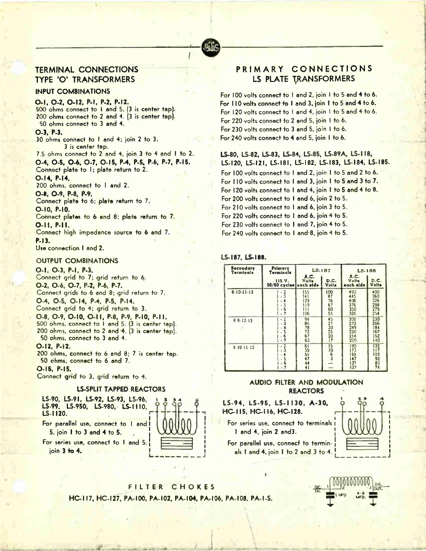# TERMINAL CONNECTIONS TYPE '0' TRANSFORMERS

# INPUT COMBINATIONS

0-1, 0-2, 0-12, P-I, P-2, P-I2. 500 ohms connect to I and 5. (3 is center tap). 200 ohms connect to 2 and 4. (3 is center tap). 50 ohms connect to 3 and 4.

0-3, P-3.

30 ohms connect to I and 4; join 2 to 3. 3 is center tap.

 $7.5$  ohms connect to  $2$  and  $4$ , join  $3$  to  $4$  and  $1$  to  $2$ . 0-4, 0-5, 0-6, 0-7, 0-15, P-4, P-5, P-6, P-7, P-15. Connoct plate to 1; plate return to 2.

0-14, P-I4.

200 ohms, connect to I and 2.

0-8, 0-9, P-8, P-9. Connect plate to 6; plate return to 7.

0-10, P-I0.

Connect plates to 6 and 8; plate return to 7. 0-11, P-I I.

Connect high impedance source to 6 and 7. P-I3.

Use connection I and 2.

# OUTPUT COMBINATIONS

0-1, 0-3, P-I, P-3. Connect grid to 7; grid return to 6. 0-2, 0-6, 0-7, P-2, P-6, P-7. Connect grids to 6 and 8; grid return to 7. 0-4, 0-5, 0-14, P-4, P-5, P-I4. Connect grid to 4; grid return to 3. 0-8, 0-9, 0-10, 0-11, P-8, P-9, P-10, P-11. 500 ohms, connect to I and 5. (3 is center tap). 200 ohms, connect to 2 and 4. (3 is center tap). 50 ohms, connect to 3 and 4. 0-12, P-I2.

200 ohms, connect to 6 and 8; 7 :s center tap.

50 ohms, connect to 6 and 7.

0-15, P-I5.

Connect grid to 3, grid return to 4.





# PRIMARY CONNECTIONS LS PLATE TRANSFORMERS

For 100 volts connect to 1 and 2, join 1 to 5 and 4 to 6. For 110 volts connect to I and 3, join I to 5 and 4 to 6. For 120 volts connect to I and 4, join I to 5 and 4 to 6. For 220 volts connect to 2 and 5, join I to 6. For 230 volts connect to 3 and 5, join I to 6. For 240 volts connect to 4 and 5, join I to 6.

LS-80, LS-82, LS-83, LS-84, LS-85, LS-89A, LS-118, LS-120, 1.S-I21, LS-18I, LS-I82, LS-I83, LS-I84, LS-I85. For 100 volts connect to 1 and 2, join 1 to 5 and 2 to 6.  $\,$ For 110 volts connect to 1 and 3, join 1 to 5 and 3 to 7. For 120 volts connect to 1 and 4, join 1 to 5 and 4 to 8.  $\,$ For 200 volts connect to I and 6, join 2 to 5. For 210 volts connect to 1 and 6, join 3 to 5. For 220 volts connect to  $1$  and 6, join 4 to 5.  $\hspace{0.1mm}$ For 230 volts connect to 1 and 7, join 4 to 5.  $\,$ 

For 240 volts connect to 1 and 8, join 4 to 5.

# LS-187, LS-188.

| Secondary<br>Primary<br>Terminals<br>Terminals |                                                | LS.187                                  |                                   | LS.188                                 |                                        |
|------------------------------------------------|------------------------------------------------|-----------------------------------------|-----------------------------------|----------------------------------------|----------------------------------------|
|                                                | 115 V.<br>50/60 cycles each side               | A.C.<br>Volts                           | D.C.<br>Volts                     | A.C.<br>Volts<br>each side             | D.C.<br>Volts                          |
| $8-10-11-13$                                   | $-2$<br>$-3$<br>5<br>6<br>$\overline{7}$<br>÷. | 155<br>141<br>129<br>119<br>111<br>106  | 100<br>87<br>76<br>67<br>60<br>55 | 490<br>445<br>406<br>376<br>350<br>326 | 400<br>360<br>326<br>298<br>275<br>254 |
| 8.9.12.13                                      | - 2<br>з<br>- 5<br>- 6<br>$-7$                 | 94<br>86<br>78<br>$\frac{72}{67}$<br>63 | 45<br>37<br>30<br>25<br>20<br>17  | 300<br>273<br>249<br>230<br>214<br>200 | 230<br>206<br>184<br>167<br>152<br>140 |
| 9.10.11.12                                     | $-2$<br>- 3<br>5<br>6<br>- 7                   | 61<br>$\frac{55}{51}$<br>47<br>44<br>41 | $rac{15}{6}$                      | 190<br>173<br>159<br>147<br>137<br>127 | 132<br>117<br>103<br>92<br>83<br>74    |

# AUDIO FILTER AND MODULATION **REACTORS**

LS-9 4, LS-95, LS-1130, A-30, HC-I 15, HC-116, HC-I28. —

For series use, connect to terminals 1 and 4, join 2 and3.



For parallel use, connect to terminals I and 4, join I to 2 and 3 to 4.

FILTER CHOKES HC-117, HC-127, PA-100, PA-102, PA-104, PA-106, PA-108, PA-1-S.

Are. eld 1., and 1., and 1., and 1., and 1., and 1., and 1., and 1., and 1., and 1., and 1., and 1., and 1., and 1., and 1., and 1., and 1., and 1., and 1., and 1., and 1., and 1., and 1., and 1., and 1., and 1., and 1., a

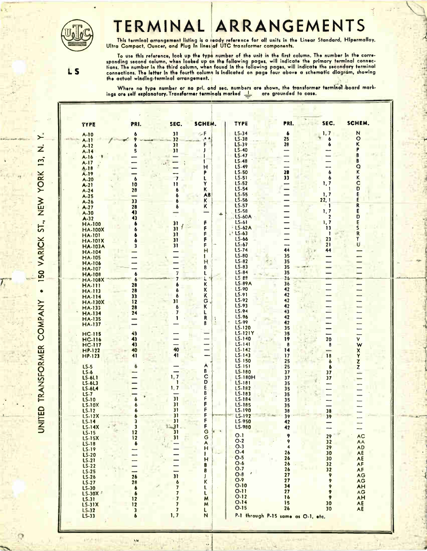

# TERMINAL ARRANGEMENTS

This terminal arrangement listing is a leady reference for all units in the Linear Standard, Hipermalloy, .<br>Ultra Compact, Ouncer, and Plug In lines of UTC transformer components.

LS

ż

UNITED TRANSFORMER COMPANY . ISO VARICK ST., NEW YORK 13,

Io use this reference, look up the type number of the unit in the first column. The number in the corre-<br>sponding second column, when looked up an the following pages, will indicate the primary terminal connecrions, the number in the third column, when tound in the tollowing pages, will indicate the secondary terminat<br>connections. The letter in the fourth column is indicated on page four above a schematic diagram, showing<br>the a

Where no type number or no prl and sec, numbers are shown, the transformer terminal board markings are self explanatory. I ransformer terminals marked **and are grounded to case.** 

| <b>TYPE</b>                     | PRI.                          | SEC.                                      | SCHEM.                                | <b>TYPE</b>              | PRI.                               | SEC                  | SCHEM.                          |
|---------------------------------|-------------------------------|-------------------------------------------|---------------------------------------|--------------------------|------------------------------------|----------------------|---------------------------------|
| $A-10$<br>$A-11$                | 6                             | 31<br>32                                  | $\sim$ F<br>A A                       | $LS-34$<br>LS-38         | $\ddot{\phantom{a}}$<br>25         | 1, 7<br>6            | N<br>$\circ$                    |
| $A-12$                          | 6 <sub>5</sub>                | 31                                        |                                       | LS-39<br>$LS-40$         | 20                                 | 6                    | ĸ                               |
| $A-14$<br>$A-16$                |                               | 31                                        |                                       | <b>LS-47</b>             |                                    |                      |                                 |
| $A-17$                          |                               |                                           |                                       | $LS-48$<br><b>LS-49</b>  | —                                  |                      | B<br>a                          |
| $A - 18$<br>A-19                |                               |                                           | н<br>P                                | <b>LS-50</b>             | 28                                 | $\mathbf{6}$         | Κ                               |
| $A-20$                          | $\boldsymbol{6}$              | $\mathbf{7}$<br>$\mathbf{u}$              | L<br>Y                                | LS-51<br>LS-52           | 33                                 | 6<br>1, 7            | K<br>с                          |
| $A-21$<br>$A-24$                | $\overline{10}$<br>28         | 6                                         | ĸ                                     | $LS-54$                  |                                    | -1                   | D                               |
| $A-25$<br>$A-26$                | -<br>33                       | 6<br>6                                    | AB.<br>K                              | $LS-55$<br>LS-56         |                                    | 1, 7<br>22, 1        | E                               |
| $A-27$                          | 28                            | ó                                         | K.                                    | LS-57                    |                                    | $\cdot$ 1            | R                               |
| $A-30$<br>$A-32$                | 43<br>43                      |                                           | -<br>÷,                               | LS-58<br>$.LS-60A$       |                                    | 1, 7<br>$\mathbf{2}$ | D                               |
| <b>HA-100</b>                   |                               | $\mathbf{3}$<br>$\frac{1}{2}$<br>31       | F<br>F                                | $LS-61$<br>· LS-62A      |                                    | 1, 7<br>13           | E<br>S                          |
| <b>HA-100X</b><br>$HA-IOI$      |                               | 31                                        | ۴                                     | $, 15 - 63$              |                                    | ı                    | R                               |
| <b>HA-101X</b>                  | 3                             | 31<br>31                                  | F<br>F<br>$\ddot{\phantom{a}}$        | $LS-66$<br>$LS-67$       |                                    | 23<br>21             | Ŧ<br>U                          |
| <b>HA-103A</b><br><b>HA-104</b> |                               |                                           | н                                     | <b>LS-74</b>             | 44                                 | 44                   |                                 |
| <b>HA-105</b><br><b>HA-106</b>  |                               |                                           | 1<br>H                                | LS-80<br>$LS-82$         | 35<br>35                           |                      | -                               |
| <b>HA-107</b>                   |                               |                                           | B                                     | $LS-83$<br>$LS-84$       | 35<br>35                           |                      |                                 |
| <b>HA-108</b><br><b>HA-108X</b> | 6                             | 7                                         | L                                     | LS es                    | 26                                 |                      |                                 |
| <b>HA-111</b>                   | 28                            |                                           | ĸ<br>K                                | $LS-89A$<br>LS-90        | 36<br>42                           |                      |                                 |
| <b>HA-113</b><br><b>HA-114</b>  | 28<br>33                      |                                           | K                                     | LS-91                    | 42                                 | ÷,                   |                                 |
| <b>HA-130X</b><br><b>HA-133</b> | 12<br>28                      | 31                                        | G.<br>ĸ                               | $LS-92$<br>LS-93         | 42<br>42                           |                      |                                 |
| <b>HA-134</b>                   | 24                            |                                           | Ł                                     | LS-94                    | 43                                 |                      |                                 |
| <b>HA-135</b><br><b>HA-137</b>  |                               |                                           | R<br>å<br>$\ddot{\phantom{a}}$<br>B   | LS-96<br>LS-99           | 42<br>42                           |                      |                                 |
| <b>HC-115</b>                   | 43                            |                                           |                                       | LS-120<br><b>LS-121Y</b> | 35<br>35                           |                      |                                 |
| <b>HC-116</b>                   | 43                            |                                           |                                       | LS-140                   | 19                                 | 20                   | $\mathbf{v}$                    |
| <b>HC-117</b><br><b>HP-122</b>  | 43<br>40                      | 40                                        | -<br>—                                | LS-141<br>$LS - 142$     | 8<br>14                            | 8<br>-               | W                               |
| $HP-123$                        | 41                            | 41                                        |                                       | $LS - 143$<br>LS-150     | 17<br>25                           | 18                   | $\frac{\mathsf{x}}{\mathsf{y}}$ |
| $LS-5$                          |                               |                                           | A                                     | LS-151                   | 25                                 | $\mathbf{d}$<br>6    | $\mathbf{z}$<br>Z               |
| LS-6<br><b>LS-6L1</b>           |                               | $\overline{\phantom{0}}$<br>1,7           | B<br>$\overline{\mathbf{C}}$          | LS-180<br>LS-180H        | 37<br>37                           | 37<br>37             |                                 |
| $LS-6L3$                        |                               | $\mathbf{r}$<br>1, 7                      | D<br>E                                | $LS - 181$<br>LS-182     | 35                                 |                      |                                 |
| <b>LS-6L4</b><br>$LS - 7$       |                               |                                           | B                                     | LS-183                   | 35<br>35                           |                      |                                 |
| $L5-10$<br><b>LS-10X</b>        |                               | 31<br>31                                  | F<br>F                                | LS-184<br>LS-185         | 35<br>35                           |                      |                                 |
| <b>LS-12</b>                    |                               | 31<br>31                                  | F<br>F                                | LS-190                   | 38                                 | 38                   |                                 |
| <b>LS-12X</b><br><b>LS-14</b>   |                               | 31                                        | ۴                                     | LS-192<br>LS-950         | 39<br>$\sim$ $\sim$<br>42          | 39                   |                                 |
| <b>LS-14X</b><br><b>LS-15</b>   | $\overline{\mathbf{3}}$<br>12 | $\frac{1}{31}$                            | $\frac{F}{G}$<br>$\blacktriangleleft$ | LS-980                   | 42                                 |                      |                                 |
| <b>LS-15X</b>                   | 12                            |                                           |                                       | $O-1$<br>$O-2$           | 9<br>9                             | 29<br>32             | AC<br>AA                        |
| LS-18<br>LS-19                  | $\bullet$                     | $\sim 1$                                  | <b>OKT-</b>                           | $O-3$                    | 4                                  | 29                   | AD                              |
| <b>LS-20</b>                    |                               |                                           | $\overline{\phantom{a}}$<br>Ħ         | O.4<br>$\cdot$ O-5       | 26<br>26                           | 30<br>30             | AE<br>AE                        |
| LS-21<br>LS-22                  |                               |                                           | 8<br>8                                | $O-6$<br>O.7             | 26                                 | 32                   | AF                              |
| <b>LS-25</b><br>LS-26           | 26                            | 31                                        | J<br>■                                | $O-B$                    | 26<br>27                           | 32<br>9              | AF<br>AG                        |
| LS-27                           | 28                            | 6                                         | $\sf K$                               | O.9<br>$O-10$            | 27<br>34                           | 9                    | AG                              |
| LS-30<br>LS-30X                 | 6<br>$\pmb{b}$                | $\pmb{\gamma}$<br>$\overline{\mathbf{z}}$ | L<br>L                                | $0 - 11$                 | 27                                 | 9<br>9               | <b>AH</b><br>AG                 |
| <b>LS-31</b>                    | $\frac{12}{12}$               | $\overline{7}$<br>$\overline{7}$          | M<br>M                                | $O-12$<br>O.14           | 16<br>15                           | 9<br>30              | AH<br>AE                        |
| <b>LS-31X</b><br><b>LS-32</b>   | $\overline{\mathbf{3}}$       | $\overline{7}$                            | L                                     | $O-15$                   | 26                                 | 30                   | AE                              |
| $LS-33$                         | $\pmb{b}$                     | 1, 7                                      | N                                     |                          | P-1 through P-15 same as O-1, etc. |                      |                                 |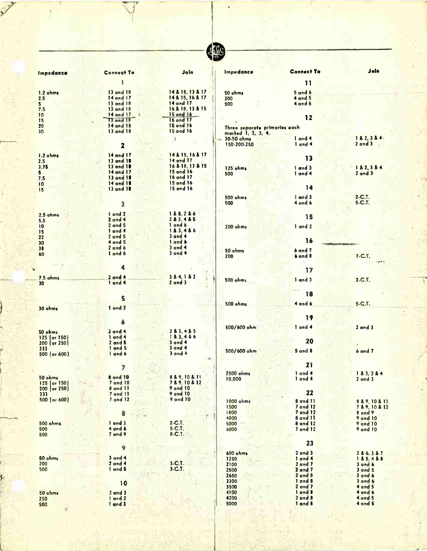| ١<br>٠<br>и<br>W |  |
|------------------|--|
|                  |  |

| Impedance                      | <b>Connect To</b>                                       | JoIn                             | Impedance                        | <b>Connect To</b>           | Join                       |
|--------------------------------|---------------------------------------------------------|----------------------------------|----------------------------------|-----------------------------|----------------------------|
|                                |                                                         |                                  |                                  | $\mathbf{1}$                |                            |
|                                | 13 and 18                                               | 14 & 18, 13 & 17                 |                                  | $5$ and $6$                 |                            |
| $1.2 \text{ ohms}$<br>2.5      | 14 and 17                                               | 14 & 15, 16 & 17                 | 50 ohms<br>200                   | $4$ and $5$                 |                            |
| 5 <sup>1</sup>                 | 13 and 18                                               | 14 and 17                        | 500                              | 4 and 6                     |                            |
| 7.5                            | 13 and 18                                               | 16 & 18, 13 & 15                 |                                  |                             |                            |
| 10                             | 14 and 17                                               | 15 and 16                        |                                  | 12                          |                            |
| 15                             | $13$ and $18$                                           | 16 and 17<br>15 and 16           |                                  |                             |                            |
| 20<br>30                       | 14 and 18<br>13 and 18                                  | 15 and 16                        | Three separate primaries each    |                             |                            |
|                                |                                                         |                                  | marked 1, 2, 3, 4.<br>30-50 ohms | 1 and 4                     | 182, 384                   |
|                                | $\overline{\mathbf{z}}$                                 |                                  | 150-200-250                      | $1$ and $4$                 | $2$ and $3$                |
|                                |                                                         |                                  |                                  |                             |                            |
| 1.2 ohms                       | 14 and 17                                               | 14 & 15, 16 & 17                 |                                  | 13                          |                            |
| 2.5                            | 13 and 18                                               | 14 and 17<br>16 & 18, 13 & 15    |                                  |                             |                            |
| 3.75<br>5                      | 13 and 18<br>14 and 17                                  | 15 and 16                        | 125 ohms                         | 1 and 3                     | 1 & 2, 3 & 4               |
| 7.5                            | 13 and 18                                               | 16 and 17                        | 500                              | 1 and 4                     | $2$ and $3$                |
| 10                             | 14 and 18                                               | 15 and 16                        |                                  |                             |                            |
| 15                             | 13 and 18                                               | 15 and 16                        |                                  | 14                          |                            |
|                                |                                                         |                                  | <b>500 ohms</b>                  | I and 3                     | $2-C.T.$                   |
|                                | 3                                                       |                                  | 500                              | 4 and 6                     | $5-C.1$ .                  |
|                                |                                                         |                                  |                                  |                             |                            |
| 2.5 ohms                       | I and 2<br>$2$ and 4                                    | 185, 286<br>283, 485             |                                  | 15                          |                            |
| 5.5<br>10                      | 2 and 5                                                 | 1 and 6                          | 200 ohms                         | 1 and 2                     |                            |
| 15                             | 1 and 4                                                 | 183.486                          |                                  |                             |                            |
| 22                             | $2$ and $5$                                             | $3$ and $4$                      |                                  |                             |                            |
| 30                             | $4$ and $5$                                             | 1 and 6                          |                                  | 16                          |                            |
| 38                             | $2$ and $6$                                             | $3$ and 4<br>$3$ and $4$         | 50 ohms                          | band7                       |                            |
| 60                             | 1 and 6                                                 |                                  | 200                              | 6 and 8                     | $7-C.1$ .                  |
|                                |                                                         |                                  |                                  |                             |                            |
|                                | 4                                                       |                                  |                                  | 17                          |                            |
| <b>7.5 ohms</b>                | $2$ and $4$                                             | 384,182                          | 500 ohms                         | $1$ and $3$                 | $2-C.T.$                   |
| 30 <sub>2</sub>                | 1 and 4                                                 | $2$ and $3$                      |                                  |                             |                            |
|                                |                                                         |                                  |                                  | 18                          |                            |
|                                | 5                                                       |                                  |                                  |                             |                            |
|                                | 1 and 2                                                 |                                  | <b>500 ohms</b>                  | 4 and 6                     | $5-C.T.$                   |
| 30 ohms                        |                                                         |                                  |                                  |                             |                            |
|                                |                                                         |                                  |                                  | 19                          |                            |
|                                | 6                                                       |                                  | $500/600$ ohm                    | 1 and 4                     | $2$ and $3$                |
| 50 ohms                        | $2$ and $4$                                             | 283, 485                         |                                  |                             |                            |
| 125 (or 150)                   | 1 and 4                                                 | 183, 486                         |                                  | 20                          |                            |
| $200$ (or 250)<br>333          | $2$ and $5$<br>1 and 5                                  | $3$ and 4<br>$3$ and $4$         |                                  |                             |                            |
| $500$ (or $600$ )              | I and 6                                                 | $3$ and $4$                      | $500/600$ ohm                    | $.5$ and $8$                | $6$ and $7$                |
|                                |                                                         |                                  |                                  |                             |                            |
|                                | 7                                                       |                                  |                                  | 21                          |                            |
|                                |                                                         |                                  | 2500 ohms                        | 1 and 4                     | 183,284                    |
| 50 ohms                        | <b><i><u><b>B</b></u></i></b> and 10<br><b>7 and 10</b> | 8 & 9, 10 & 11<br>7 & 9, 10 & 12 | 10,000                           | 1 and 4                     | $2$ and $3$                |
| 125 (or 150)<br>$200$ (or 250) | 8 and 11                                                | $9$ and $10$                     |                                  |                             |                            |
| 333                            | <b>7</b> and 11                                         | <b>9 and 10</b>                  |                                  | 22                          |                            |
| $500$ (or $600$ )              | 7 and 12                                                | <b>9 and 10</b>                  | 1000 ohms                        | 8 and 11                    | 8 & 9, 10 & 11             |
|                                |                                                         |                                  | 1500                             | <b>7</b> and 12             | 7 & 9, 10 & 12             |
|                                | 8                                                       | ħ                                | 1800                             | 7 and 12                    | $8$ and $9$                |
|                                | $1$ and $3$                                             | $2-C.7$ .                        | 4000                             | <b>8 and 11</b>             | 9 and 10                   |
| <b>500 ohms</b><br>500         | 4 and 6                                                 | $5-C.T.$                         | 5000<br>6000                     | <b>8 and 12</b><br>7 and 12 | 9 and 10<br>9 and 10       |
| 500                            | 7 and 9                                                 | $B-C.T.$                         |                                  |                             |                            |
|                                |                                                         |                                  |                                  | 23                          |                            |
|                                | 9                                                       |                                  |                                  |                             |                            |
|                                |                                                         |                                  | <b>600 ohms</b>                  | $2$ and $3$                 | 2 & 6, 3 & 7               |
| 50 ohms<br>200                 | $3$ and $4$<br>$2$ and $4$                              | $3-C.1$ .                        | 1250                             | 1 and 4                     | 185, 488                   |
| 500                            | 1 and 5                                                 | 3.C.T.                           | 2100<br>2500                     | $2$ and $7$<br>$2$ and $7$  | $3$ and $6$<br>$3$ and $5$ |
|                                |                                                         |                                  | 2650                             | $2$ and $8$                 | $3$ and $6$                |
|                                | 10                                                      |                                  | 3300                             | 1 and 8                     | $3$ and $6$                |
|                                |                                                         |                                  | 3500                             | $2$ and $7$                 | 4 and 5                    |
| 50 ohms                        | $2$ and $3$                                             |                                  | 4100                             | $1$ and $8$                 | 4 and 6                    |
| 250                            | 1 and 2                                                 |                                  | 4200<br>5000                     | $2$ and $8$<br>1 and 8      | $4$ and $5$<br>4 and 5     |
| 500                            | 1 and 3                                                 |                                  |                                  |                             |                            |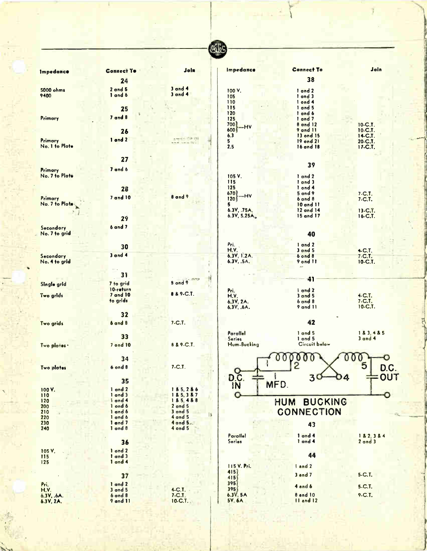|                            |                             |                                           | <b>UnioC</b>              |                              |                       |
|----------------------------|-----------------------------|-------------------------------------------|---------------------------|------------------------------|-----------------------|
|                            |                             |                                           | Impedance                 | <b>Connect To</b>            | Join                  |
| <b>Impedance</b>           | <b>Connect To</b>           | Join                                      |                           |                              |                       |
|                            | 24                          |                                           |                           | 38                           |                       |
| 5000 ohms                  | $2$ and $5$<br>1 and 6      | $3$ and $4$<br>$3$ and $4$                | 100 V.                    | 1 and 2                      |                       |
| 9400                       |                             |                                           | 105<br>110                | 1 and 3<br>I ond 4           |                       |
|                            | 25                          |                                           | 115                       | $1$ and 5                    |                       |
| Primary                    | $7$ and $8$                 |                                           | 120<br>125                | 1 and 6<br>1 and 7           |                       |
|                            |                             |                                           | 700<br>-HV                | $8$ and 12                   | $10-C.T.$             |
|                            | 26                          |                                           | 600<br>6.3                | <b>9 and 11</b><br>13 ond 15 | 10-C.T.<br>14-C.T.    |
| <b>Primary</b>             | 1 and 2                     | American 103-230<br>$11.01.45$ $8.7$      | 5                         | 19 ond 21                    | 20-C.T.               |
| No. 1 to Plate             |                             |                                           | 2.5                       | 16 and 18                    | 17-C.T.               |
|                            | 27                          |                                           |                           |                              |                       |
|                            | 7 and 6                     |                                           |                           | 39                           |                       |
| Primary<br>No. 7 to Plate  |                             |                                           | 105 V.                    | 1 and 2                      |                       |
|                            |                             |                                           | 115                       | 1 and 3                      |                       |
|                            | 28                          |                                           | 125<br>670                | 1 ond 4<br>$5$ and $9$       | $7-C.1$ .             |
| Primary                    | $7$ and $10$                | <b>B</b> and 9                            | -HV<br>120                | $6$ and $8$                  | $7-C.T.$              |
| No. 7 to Plate:            |                             |                                           | 5<br>6.3V, .75A,          | $10$ and $11$<br>12 and 14   | 13-C.T.               |
|                            | 29                          |                                           | 6.3V, 5.25A               | 15 and 17                    | 16-C.T.               |
|                            | 6 and 7                     |                                           |                           |                              |                       |
| Secondory<br>No. 7 to grid |                             |                                           |                           | 40                           |                       |
|                            |                             |                                           |                           |                              |                       |
|                            | 30                          |                                           | $Pr_{i}$<br><b>H.V.</b>   | $1$ and $2$<br>$3$ and $5$   | 4-C.T.                |
| Secondary                  | $3$ and $4$                 |                                           | 6.3V, 1.2A.               | $6$ ond $8$                  | $7-C.7.$              |
| No. 4 to grid              |                             |                                           | 6.3V, .5A.                | 9 ond 11                     | $10 - C.T.$           |
|                            | 31                          |                                           |                           |                              |                       |
| Single grid                | 7 to grid                   | nm<br>8 ond 9                             |                           | 41                           |                       |
|                            | 10-return                   |                                           | Pri.                      | I and 2                      |                       |
| Two grids                  | <b>7 and 10</b><br>to grids | 8 & 9-C.T.                                | H.V.                      | $3$ and $5$                  | $4-C.T.$<br>$7-C.1$ . |
|                            |                             |                                           | 6.3V, 2A.<br>6.3V, .6A.   | $6$ and $8$<br>9 and 11      | 10-C.T.               |
|                            | 32                          |                                           |                           |                              |                       |
| Two grids                  | <b>6 and 8</b>              | $7-C.7.$                                  |                           | 42                           |                       |
|                            |                             |                                           | Parallel                  | 1 and 5                      | 183, 485              |
|                            | 33                          |                                           | <b>Series</b>             | $1$ ond $5$                  | $3$ and $4$           |
| Two plates .               | 7 ond 10                    | <b>8 &amp; 9-C.T.</b>                     | Hum-Bucking               | Circuit below                |                       |
|                            |                             |                                           |                           |                              | <b>MOCT</b><br>◡      |
| Two plates                 | 34<br><b>b</b> ond <b>B</b> | $7-C.T.$                                  |                           | $\frac{1}{2}$                |                       |
|                            |                             |                                           |                           |                              | D.C.                  |
|                            | 35                          |                                           | D <sub>OC</sub>           | 3 <sup>C</sup>               | OUT<br>D4             |
| 100 V.                     | 1 and 2                     | 185,286                                   |                           | MFD.                         |                       |
| 110                        | $1$ and $3$                 | 185, 387                                  | $\mathbf O$               |                              |                       |
| 120<br>200                 | 1 and 4<br>I ond 6          | 185, 488                                  |                           | <b>BUCKING</b><br><b>HUM</b> |                       |
| 210                        | 1 and 6                     | $2$ and $5$<br>3 and $5$<br>$\vert \vert$ |                           | <b>CONNECTION</b>            |                       |
| 220<br>230                 | 1 and 6<br>1 and 7          | 4 and 5<br>4 and 5.                       |                           | 43                           |                       |
| 240                        | $1$ and $8$                 | $4$ ond $5$                               |                           |                              |                       |
|                            |                             |                                           | Parallel                  | $1$ and $4$                  | 182, 384              |
|                            | 36                          |                                           | <b>Series</b>             | 1 and 4                      | $2$ and $3$           |
| 105 V.<br>115              | 1 ond 2<br>1 and 3          |                                           |                           | 44                           |                       |
| 125                        | 1 and 4                     |                                           |                           |                              |                       |
|                            |                             |                                           | <b>115 V. Pri.</b><br>415 | land <sub>2</sub>            |                       |
|                            | 37                          |                                           | 415                       | 3 and 7                      | 5-C.T.                |
| Pri.<br>H.V.               | 1 and 2<br>$3$ and $5$      | $4-C.T.$                                  | 395<br>395                | 4 and 6                      | 5-C.T.                |
| 6.3V, .6A.                 | $6$ and $8$                 | $7-C.T.$                                  | 6.3V, 5A                  | <b>8 and 10</b>              | 9-C.T.                |
| 6.3V, 2A.                  | 9 and 11                    | 10-C.T.                                   | 5V, 6A                    | II and I2                    |                       |